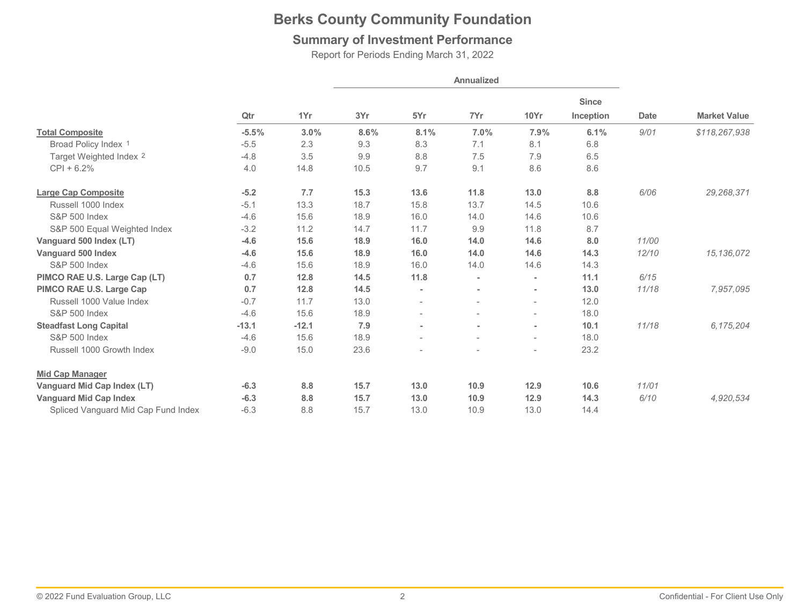## **Summary of Investment Performance**

|                                     |         |         | Annualized |                          |                          |                |                           |             |                     |
|-------------------------------------|---------|---------|------------|--------------------------|--------------------------|----------------|---------------------------|-------------|---------------------|
|                                     | Qtr     | 1Yr     | 3Yr        | 5Yr                      | 7Yr                      | 10Yr           | <b>Since</b><br>Inception | <b>Date</b> | <b>Market Value</b> |
| <b>Total Composite</b>              | $-5.5%$ | 3.0%    | 8.6%       | 8.1%                     | 7.0%                     | 7.9%           | 6.1%                      | 9/01        | \$118,267,938       |
| Broad Policy Index 1                | $-5.5$  | 2.3     | 9.3        | 8.3                      | 7.1                      | 8.1            | 6.8                       |             |                     |
| Target Weighted Index 2             | $-4.8$  | 3.5     | 9.9        | 8.8                      | 7.5                      | 7.9            | 6.5                       |             |                     |
| $CPI + 6.2%$                        | 4.0     | 14.8    | 10.5       | 9.7                      | 9.1                      | 8.6            | 8.6                       |             |                     |
| <b>Large Cap Composite</b>          | $-5.2$  | 7.7     | 15.3       | 13.6                     | 11.8                     | 13.0           | 8.8                       | 6/06        | 29,268,371          |
| Russell 1000 Index                  | $-5.1$  | 13.3    | 18.7       | 15.8                     | 13.7                     | 14.5           | 10.6                      |             |                     |
| <b>S&amp;P 500 Index</b>            | $-4.6$  | 15.6    | 18.9       | 16.0                     | 14.0                     | 14.6           | 10.6                      |             |                     |
| S&P 500 Equal Weighted Index        | $-3.2$  | 11.2    | 14.7       | 11.7                     | 9.9                      | 11.8           | 8.7                       |             |                     |
| Vanguard 500 Index (LT)             | $-4.6$  | 15.6    | 18.9       | 16.0                     | 14.0                     | 14.6           | 8.0                       | 11/00       |                     |
| Vanguard 500 Index                  | $-4.6$  | 15.6    | 18.9       | 16.0                     | 14.0                     | 14.6           | 14.3                      | 12/10       | 15,136,072          |
| <b>S&amp;P 500 Index</b>            | $-4.6$  | 15.6    | 18.9       | 16.0                     | 14.0                     | 14.6           | 14.3                      |             |                     |
| PIMCO RAE U.S. Large Cap (LT)       | 0.7     | 12.8    | 14.5       | 11.8                     | $\sim$                   | $\blacksquare$ | 11.1                      | 6/15        |                     |
| PIMCO RAE U.S. Large Cap            | 0.7     | 12.8    | 14.5       | $\blacksquare$           | $\overline{\phantom{a}}$ | $\blacksquare$ | 13.0                      | 11/18       | 7.957.095           |
| Russell 1000 Value Index            | $-0.7$  | 11.7    | 13.0       | $\overline{\phantom{a}}$ | $\overline{a}$           | $\sim$         | 12.0                      |             |                     |
| <b>S&amp;P 500 Index</b>            | $-4.6$  | 15.6    | 18.9       | $\overline{\phantom{a}}$ | $\overline{a}$           | $\sim$         | 18.0                      |             |                     |
| <b>Steadfast Long Capital</b>       | $-13.1$ | $-12.1$ | 7.9        |                          | $\overline{\phantom{a}}$ | $\sim$         | 10.1                      | 11/18       | 6,175,204           |
| <b>S&amp;P 500 Index</b>            | $-4.6$  | 15.6    | 18.9       |                          | $\overline{a}$           | $\sim$         | 18.0                      |             |                     |
| Russell 1000 Growth Index           | $-9.0$  | 15.0    | 23.6       |                          |                          | $\sim$         | 23.2                      |             |                     |
| <b>Mid Cap Manager</b>              |         |         |            |                          |                          |                |                           |             |                     |
| Vanguard Mid Cap Index (LT)         | $-6.3$  | 8.8     | 15.7       | 13.0                     | 10.9                     | 12.9           | 10.6                      | 11/01       |                     |
| <b>Vanguard Mid Cap Index</b>       | $-6.3$  | 8.8     | 15.7       | 13.0                     | 10.9                     | 12.9           | 14.3                      | 6/10        | 4.920.534           |
| Spliced Vanguard Mid Cap Fund Index | $-6.3$  | 8.8     | 15.7       | 13.0                     | 10.9                     | 13.0           | 14.4                      |             |                     |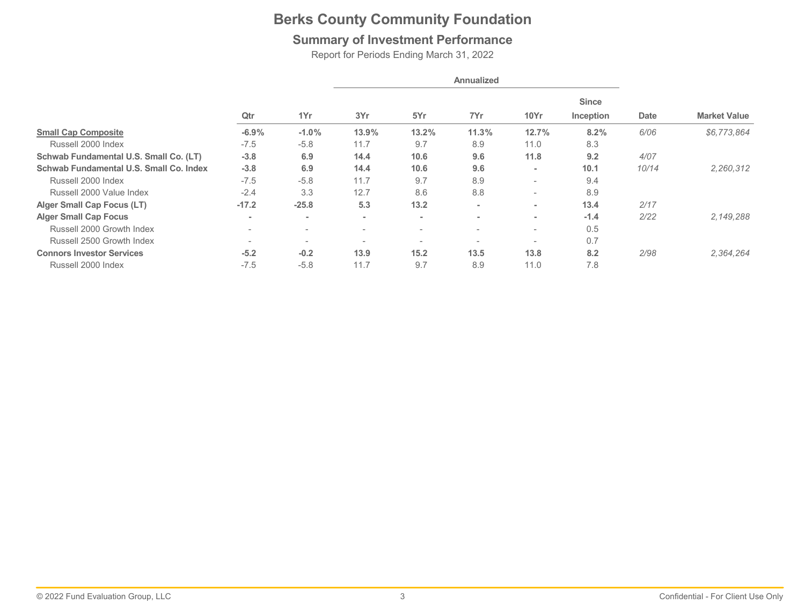## **Summary of Investment Performance**

|                                         |                          |                          | Annualized               |                              |                          |                          |              |             |                     |
|-----------------------------------------|--------------------------|--------------------------|--------------------------|------------------------------|--------------------------|--------------------------|--------------|-------------|---------------------|
|                                         |                          |                          |                          |                              |                          |                          | <b>Since</b> |             |                     |
|                                         | Qtr                      | 1Yr                      | 3Yr                      | 5Yr                          | 7Yr                      | 10Yr                     | Inception    | <b>Date</b> | <b>Market Value</b> |
| <b>Small Cap Composite</b>              | $-6.9%$                  | $-1.0%$                  | 13.9%                    | 13.2%                        | 11.3%                    | 12.7%                    | 8.2%         | 6/06        | \$6,773,864         |
| Russell 2000 Index                      | $-7.5$                   | $-5.8$                   | 11.7                     | 9.7                          | 8.9                      | 11.0                     | 8.3          |             |                     |
| Schwab Fundamental U.S. Small Co. (LT)  | $-3.8$                   | 6.9                      | 14.4                     | 10.6                         | 9.6                      | 11.8                     | 9.2          | 4/07        |                     |
| Schwab Fundamental U.S. Small Co. Index | $-3.8$                   | 6.9                      | 14.4                     | 10.6                         | 9.6                      | ٠                        | 10.1         | 10/14       | 2,260,312           |
| Russell 2000 Index                      | $-7.5$                   | $-5.8$                   | 11.7                     | 9.7                          | 8.9                      | $\overline{\phantom{a}}$ | 9.4          |             |                     |
| Russell 2000 Value Index                | $-2.4$                   | 3.3                      | 12.7                     | 8.6                          | 8.8                      | $\overline{\phantom{a}}$ | 8.9          |             |                     |
| Alger Small Cap Focus (LT)              | $-17.2$                  | $-25.8$                  | 5.3                      | 13.2                         | $\sim$                   | $\overline{\phantom{a}}$ | 13.4         | 2/17        |                     |
| <b>Alger Small Cap Focus</b>            | ٠                        | $\,$                     | $\,$                     | $\overline{\phantom{a}}$     | $\overline{\phantom{0}}$ | $\overline{\phantom{a}}$ | $-1.4$       | 2/22        | 2,149,288           |
| Russell 2000 Growth Index               | $\overline{\phantom{a}}$ | $\overline{\phantom{a}}$ | $\overline{\phantom{a}}$ | $\qquad \qquad \blacksquare$ | $\overline{\phantom{a}}$ | $\overline{\phantom{a}}$ | 0.5          |             |                     |
| Russell 2500 Growth Index               | $\overline{\phantom{a}}$ | $\overline{\phantom{a}}$ | $\overline{\phantom{a}}$ | $\overline{\phantom{a}}$     | $\overline{\phantom{a}}$ | $\overline{\phantom{a}}$ | 0.7          |             |                     |
| <b>Connors Investor Services</b>        | $-5.2$                   | $-0.2$                   | 13.9                     | 15.2                         | 13.5                     | 13.8                     | 8.2          | 2/98        | 2,364,264           |
| Russell 2000 Index                      | $-7.5$                   | $-5.8$                   | 11.7                     | 9.7                          | 8.9                      | 11.0                     | 7.8          |             |                     |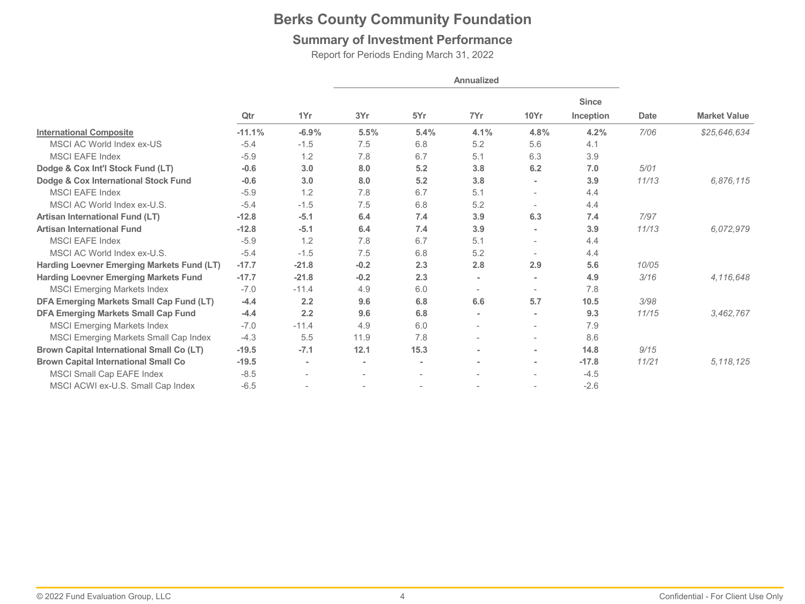## **Summary of Investment Performance**

|                                              | Qtr      | 1Yr                      | 3Yr                      | 5Yr            | 7Yr                      | 10Yr                     | <b>Since</b><br>Inception | Date  | <b>Market Value</b> |
|----------------------------------------------|----------|--------------------------|--------------------------|----------------|--------------------------|--------------------------|---------------------------|-------|---------------------|
| <b>International Composite</b>               | $-11.1%$ | $-6.9%$                  | 5.5%                     | 5.4%           | 4.1%                     | 4.8%                     | 4.2%                      | 7/06  | \$25,646,634        |
| MSCI AC World Index ex-US                    | $-5.4$   | $-1.5$                   | 7.5                      | 6.8            | 5.2                      | 5.6                      | 4.1                       |       |                     |
| <b>MSCI EAFE Index</b>                       | $-5.9$   | 1.2                      | 7.8                      | 6.7            | 5.1                      | 6.3                      | 3.9                       |       |                     |
| Dodge & Cox Int'l Stock Fund (LT)            | $-0.6$   | 3.0                      | 8.0                      | 5.2            | 3.8                      | 6.2                      | 7.0                       | 5/01  |                     |
| Dodge & Cox International Stock Fund         | $-0.6$   | 3.0                      | 8.0                      | 5.2            | 3.8                      | $\sim$                   | 3.9                       | 11/13 | 6,876,115           |
| <b>MSCI EAFE Index</b>                       | $-5.9$   | 1.2                      | 7.8                      | 6.7            | 5.1                      | $\overline{\phantom{a}}$ | 4.4                       |       |                     |
| MSCI AC World Index ex-U.S.                  | $-5.4$   | $-1.5$                   | 7.5                      | 6.8            | 5.2                      | $\overline{\phantom{a}}$ | 4.4                       |       |                     |
| Artisan International Fund (LT)              | $-12.8$  | $-5.1$                   | 6.4                      | 7.4            | 3.9                      | 6.3                      | 7.4                       | 7/97  |                     |
| <b>Artisan International Fund</b>            | $-12.8$  | $-5.1$                   | 6.4                      | 7.4            | 3.9                      | $\sim$                   | 3.9                       | 11/13 | 6,072,979           |
| <b>MSCI EAFE Index</b>                       | $-5.9$   | 1.2                      | 7.8                      | 6.7            | 5.1                      | $\sim$                   | 4.4                       |       |                     |
| MSCI AC World Index ex-U.S.                  | $-5.4$   | $-1.5$                   | 7.5                      | 6.8            | 5.2                      | $\overline{\phantom{a}}$ | 4.4                       |       |                     |
| Harding Loevner Emerging Markets Fund (LT)   | $-17.7$  | $-21.8$                  | $-0.2$                   | 2.3            | 2.8                      | 2.9                      | 5.6                       | 10/05 |                     |
| <b>Harding Loevner Emerging Markets Fund</b> | $-17.7$  | $-21.8$                  | $-0.2$                   | 2.3            | ٠                        | $\blacksquare$           | 4.9                       | 3/16  | 4,116,648           |
| <b>MSCI Emerging Markets Index</b>           | $-7.0$   | $-11.4$                  | 4.9                      | 6.0            | $\overline{\phantom{a}}$ | $\overline{\phantom{a}}$ | 7.8                       |       |                     |
| DFA Emerging Markets Small Cap Fund (LT)     | $-4.4$   | 2.2                      | 9.6                      | 6.8            | 6.6                      | 5.7                      | 10.5                      | 3/98  |                     |
| <b>DFA Emerging Markets Small Cap Fund</b>   | $-4.4$   | 2.2                      | 9.6                      | 6.8            | $\sim$                   | $\sim$                   | 9.3                       | 11/15 | 3,462,767           |
| <b>MSCI Emerging Markets Index</b>           | $-7.0$   | $-11.4$                  | 4.9                      | 6.0            |                          | $\sim$                   | 7.9                       |       |                     |
| <b>MSCI Emerging Markets Small Cap Index</b> | $-4.3$   | 5.5                      | 11.9                     | 7.8            |                          | $\overline{\phantom{a}}$ | 8.6                       |       |                     |
| Brown Capital International Small Co (LT)    | $-19.5$  | $-7.1$                   | 12.1                     | 15.3           |                          | ٠                        | 14.8                      | 9/15  |                     |
| <b>Brown Capital International Small Co</b>  | $-19.5$  | ٠                        | ٠                        | $\blacksquare$ |                          | $\bar{a}$                | $-17.8$                   | 11/21 | 5,118,125           |
| MSCI Small Cap EAFE Index                    | $-8.5$   | $\overline{\phantom{a}}$ | $\overline{\phantom{a}}$ | $\sim$         | $\overline{\phantom{a}}$ | $\sim$                   | $-4.5$                    |       |                     |
| MSCI ACWI ex-U.S. Small Cap Index            | $-6.5$   |                          |                          |                |                          | $\overline{\phantom{a}}$ | $-2.6$                    |       |                     |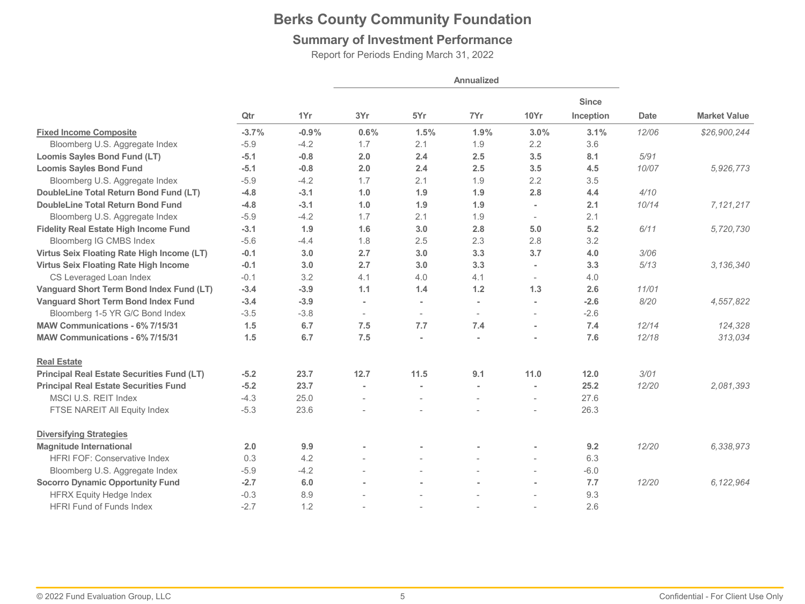## **Summary of Investment Performance**

|                                                   |         |         | Annualized               |                          |        |                          |                    |             |                     |
|---------------------------------------------------|---------|---------|--------------------------|--------------------------|--------|--------------------------|--------------------|-------------|---------------------|
|                                                   | Qtr     | 1Yr     | 3Yr                      | 5Yr                      | 7Yr    | 10Yr                     | Since<br>Inception | <b>Date</b> | <b>Market Value</b> |
| <b>Fixed Income Composite</b>                     | $-3.7%$ | $-0.9%$ | 0.6%                     | 1.5%                     | 1.9%   | 3.0%                     | 3.1%               | 12/06       | \$26,900,244        |
| Bloomberg U.S. Aggregate Index                    | $-5.9$  | $-4.2$  | 1.7                      | 2.1                      | 1.9    | 2.2                      | 3.6                |             |                     |
| Loomis Sayles Bond Fund (LT)                      | $-5.1$  | $-0.8$  | 2.0                      | 2.4                      | 2.5    | 3.5                      | 8.1                | 5/91        |                     |
| <b>Loomis Sayles Bond Fund</b>                    | $-5.1$  | $-0.8$  | 2.0                      | 2.4                      | 2.5    | 3.5                      | 4.5                | 10/07       | 5,926,773           |
| Bloomberg U.S. Aggregate Index                    | $-5.9$  | $-4.2$  | 1.7                      | 2.1                      | 1.9    | 2.2                      | 3.5                |             |                     |
| DoubleLine Total Return Bond Fund (LT)            | $-4.8$  | $-3.1$  | 1.0                      | 1.9                      | 1.9    | 2.8                      | 4.4                | 4/10        |                     |
| <b>DoubleLine Total Return Bond Fund</b>          | $-4.8$  | $-3.1$  | 1.0                      | 1.9                      | 1.9    | $\blacksquare$           | 2.1                | 10/14       | 7,121,217           |
| Bloomberg U.S. Aggregate Index                    | $-5.9$  | $-4.2$  | 1.7                      | 2.1                      | 1.9    | $\overline{\phantom{a}}$ | 2.1                |             |                     |
| <b>Fidelity Real Estate High Income Fund</b>      | $-3.1$  | 1.9     | 1.6                      | 3.0                      | 2.8    | 5.0                      | 5.2                | 6/11        | 5,720,730           |
| Bloomberg IG CMBS Index                           | $-5.6$  | $-4.4$  | 1.8                      | 2.5                      | 2.3    | 2.8                      | 3.2                |             |                     |
| Virtus Seix Floating Rate High Income (LT)        | $-0.1$  | 3.0     | 2.7                      | 3.0                      | 3.3    | 3.7                      | 4.0                | 3/06        |                     |
| Virtus Seix Floating Rate High Income             | $-0.1$  | 3.0     | 2.7                      | 3.0                      | 3.3    | $\blacksquare$           | 3.3                | 5/13        | 3.136.340           |
| CS Leveraged Loan Index                           | $-0.1$  | 3.2     | 4.1                      | 4.0                      | 4.1    | $\overline{\phantom{a}}$ | 4.0                |             |                     |
| Vanguard Short Term Bond Index Fund (LT)          | $-3.4$  | $-3.9$  | 1.1                      | 1.4                      | 1.2    | 1.3                      | 2.6                | 11/01       |                     |
| Vanguard Short Term Bond Index Fund               | $-3.4$  | $-3.9$  | $\sim$                   | ٠                        | $\sim$ | $\sim$                   | $-2.6$             | 8/20        | 4,557,822           |
| Bloomberg 1-5 YR G/C Bond Index                   | $-3.5$  | $-3.8$  | $\sim$                   | $\sim$                   | $\sim$ | $\overline{a}$           | $-2.6$             |             |                     |
| MAW Communications - 6% 7/15/31                   | 1.5     | 6.7     | 7.5                      | 7.7                      | 7.4    | $\overline{a}$           | 7.4                | 12/14       | 124,328             |
| MAW Communications - 6% 7/15/31                   | 1.5     | 6.7     | 7.5                      |                          |        |                          | 7.6                | 12/18       | 313.034             |
| <b>Real Estate</b>                                |         |         |                          |                          |        |                          |                    |             |                     |
| <b>Principal Real Estate Securities Fund (LT)</b> | $-5.2$  | 23.7    | 12.7                     | 11.5                     | 9.1    | 11.0                     | 12.0               | 3/01        |                     |
| <b>Principal Real Estate Securities Fund</b>      | $-5.2$  | 23.7    | $\overline{\phantom{a}}$ | $\overline{\phantom{a}}$ |        | $\sim$                   | 25.2               | 12/20       | 2.081.393           |
| MSCI U.S. REIT Index                              | $-4.3$  | 25.0    |                          |                          |        |                          | 27.6               |             |                     |
| FTSE NAREIT All Equity Index                      | $-5.3$  | 23.6    |                          |                          |        |                          | 26.3               |             |                     |
| <b>Diversifying Strategies</b>                    |         |         |                          |                          |        |                          |                    |             |                     |
| <b>Magnitude International</b>                    | 2.0     | 9.9     |                          |                          |        |                          | 9.2                | 12/20       | 6.338.973           |
| <b>HFRI FOF: Conservative Index</b>               | 0.3     | 4.2     |                          |                          |        |                          | 6.3                |             |                     |
| Bloomberg U.S. Aggregate Index                    | $-5.9$  | $-4.2$  |                          |                          |        |                          | $-6.0$             |             |                     |
| <b>Socorro Dynamic Opportunity Fund</b>           | $-2.7$  | 6.0     |                          |                          |        | $\blacksquare$           | 7.7                | 12/20       | 6,122,964           |
| <b>HFRX Equity Hedge Index</b>                    | $-0.3$  | 8.9     |                          |                          |        |                          | 9.3                |             |                     |
| <b>HFRI Fund of Funds Index</b>                   | $-2.7$  | 1.2     |                          |                          |        |                          | 2.6                |             |                     |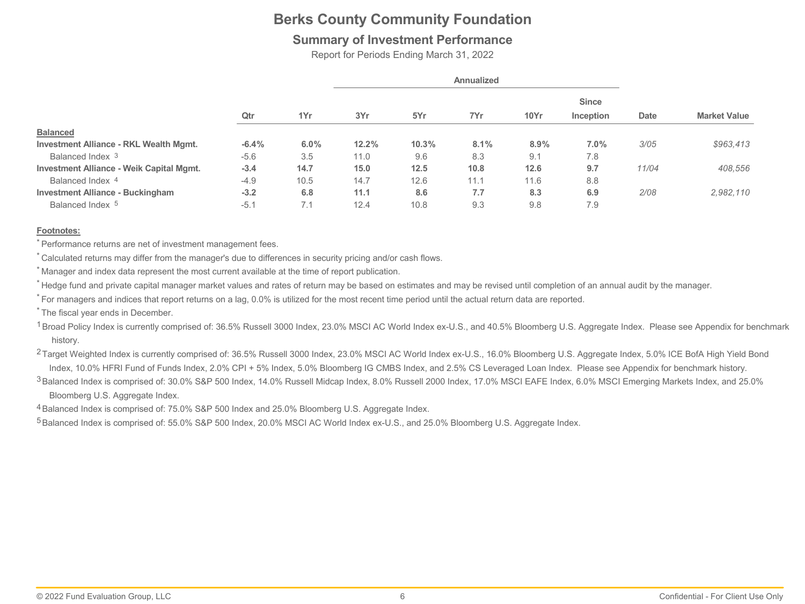#### **Summary of Investment Performance**

Report for Periods Ending March 31, 2022

|                                                 |         | Annualized |       |       |      |      |              |       |                     |
|-------------------------------------------------|---------|------------|-------|-------|------|------|--------------|-------|---------------------|
|                                                 |         |            |       |       |      |      | <b>Since</b> |       |                     |
|                                                 | Qtr     | 1Yr        | 3Yr   | 5Yr   | 7Yr  | 10Yr | Inception    | Date  | <b>Market Value</b> |
| <b>Balanced</b>                                 |         |            |       |       |      |      |              |       |                     |
| <b>Investment Alliance - RKL Wealth Mgmt.</b>   | $-6.4%$ | 6.0%       | 12.2% | 10.3% | 8.1% | 8.9% | 7.0%         | 3/05  | \$963,413           |
| Balanced Index 3                                | $-5.6$  | 3.5        | 11.0  | 9.6   | 8.3  | 9.1  | 7.8          |       |                     |
| <b>Investment Alliance - Weik Capital Mgmt.</b> | $-3.4$  | 14.7       | 15.0  | 12.5  | 10.8 | 12.6 | 9.7          | 11/04 | 408,556             |
| Balanced Index 4                                | $-4.9$  | 10.5       | 14.7  | 12.6  | 11.1 | 11.6 | 8.8          |       |                     |
| <b>Investment Alliance - Buckingham</b>         | $-3.2$  | 6.8        | 11.1  | 8.6   | 7.7  | 8.3  | 6.9          | 2/08  | 2,982,110           |
| Balanced Index <sup>5</sup>                     | $-5.1$  | 7.1        | 12.4  | 10.8  | 9.3  | 9.8  | 7.9          |       |                     |

#### **Footnotes:**

\* Performance returns are net of investment management fees.

\* Calculated returns may differ from the manager's due to differences in security pricing and/or cash flows.

\* Manager and index data represent the most current available at the time of report publication.

\* Hedge fund and private capital manager market values and rates of return may be based on estimates and may be revised until completion of an annual audit by the manager.

\* For managers and indices that report returns on a lag, 0.0% is utilized for the most recent time period until the actual return data are reported.

\* The fiscal year ends in December.

<sup>1</sup> Broad Policy Index is currently comprised of: 36.5% Russell 3000 Index, 23.0% MSCI AC World Index ex-U.S., and 40.5% Bloomberg U.S. Aggregate Index. Please see Appendix for benchmark history.

<sup>2</sup>Target Weighted Index is currently comprised of: 36.5% Russell 3000 Index, 23.0% MSCI AC World Index ex-U.S., 16.0% Bloomberg U.S. Aggregate Index, 5.0% ICE BofA High Yield Bond Index, 10.0% HFRI Fund of Funds Index, 2.0% CPI + 5% Index, 5.0% Bloomberg IG CMBS Index, and 2.5% CS Leveraged Loan Index. Please see Appendix for benchmark history.

<sup>3</sup> Balanced Index is comprised of: 30.0% S&P 500 Index, 14.0% Russell Midcap Index, 8.0% Russell 2000 Index, 17.0% MSCI EAFE Index, 6.0% MSCI Emerging Markets Index, and 25.0%

Bloomberg U.S. Aggregate Index.

4Balanced Index is comprised of: 75.0% S&P 500 Index and 25.0% Bloomberg U.S. Aggregate Index.

5Balanced Index is comprised of: 55.0% S&P 500 Index, 20.0% MSCI AC World Index ex-U.S., and 25.0% Bloomberg U.S. Aggregate Index.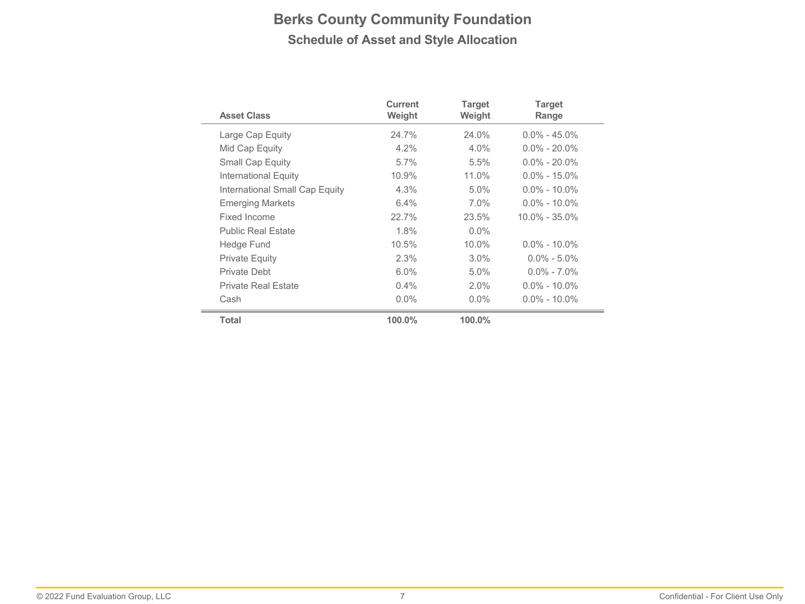# **Berks County Community Foundation Schedule of Asset and Style Allocation**

| <b>Asset Class</b>             | <b>Current</b><br>Weight | <b>Target</b><br>Weight | <b>Target</b><br>Range |
|--------------------------------|--------------------------|-------------------------|------------------------|
| Large Cap Equity               | 24.7%                    | 24.0%                   | $0.0\% - 45.0\%$       |
| Mid Cap Equity                 | $4.2\%$                  | $4.0\%$                 | $0.0\% - 20.0\%$       |
| Small Cap Equity               | 5.7%                     | 5.5%                    | $0.0\% - 20.0\%$       |
| <b>International Equity</b>    | 10.9%                    | 11.0%                   | $0.0\% - 15.0\%$       |
| International Small Cap Equity | 4.3%                     | $5.0\%$                 | $0.0\% - 10.0\%$       |
| <b>Emerging Markets</b>        | $6.4\%$                  | $7.0\%$                 | $0.0\% - 10.0\%$       |
| Fixed Income                   | 22.7%                    | 23.5%                   | $10.0\% - 35.0\%$      |
| <b>Public Real Estate</b>      | $1.8\%$                  | $0.0\%$                 |                        |
| Hedge Fund                     | 10.5%                    | 10.0%                   | $0.0\% - 10.0\%$       |
| <b>Private Equity</b>          | 2.3%                     | $3.0\%$                 | $0.0\% - 5.0\%$        |
| Private Debt                   | $6.0\%$                  | $5.0\%$                 | $0.0\% - 7.0\%$        |
| <b>Private Real Estate</b>     | $0.4\%$                  | $2.0\%$                 | $0.0\% - 10.0\%$       |
| Cash                           | $0.0\%$                  | $0.0\%$                 | $0.0\% - 10.0\%$       |
| <b>Total</b>                   | $100.0\%$                | $100.0\%$               |                        |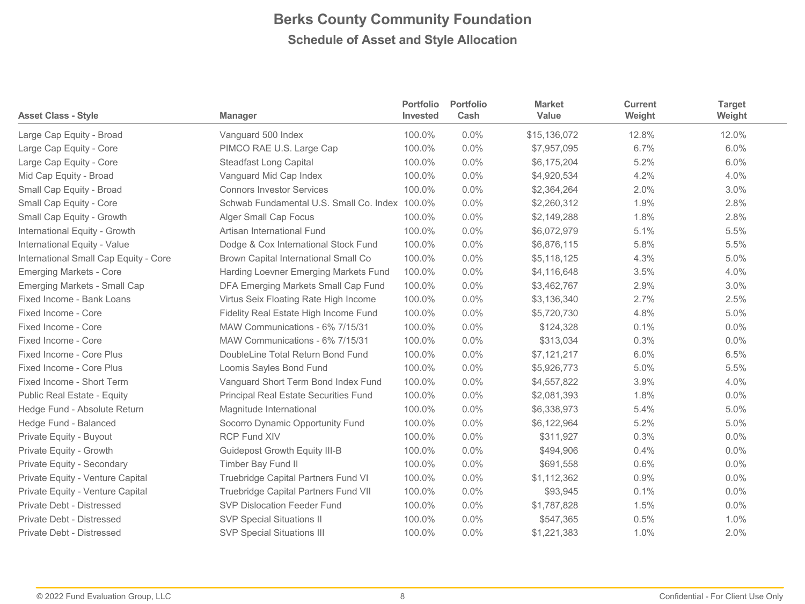## **Berks County Community Foundation Schedule of Asset and Style Allocation**

| <b>Asset Class - Style</b>            | <b>Manager</b>                                 | <b>Portfolio</b><br>Invested | Portfolio<br>Cash | <b>Market</b><br>Value | <b>Current</b><br>Weight | <b>Target</b><br>Weight |
|---------------------------------------|------------------------------------------------|------------------------------|-------------------|------------------------|--------------------------|-------------------------|
| Large Cap Equity - Broad              | Vanguard 500 Index                             | 100.0%                       | 0.0%              | \$15,136,072           | 12.8%                    | 12.0%                   |
| Large Cap Equity - Core               | PIMCO RAE U.S. Large Cap                       | 100.0%                       | 0.0%              | \$7,957,095            | 6.7%                     | 6.0%                    |
| Large Cap Equity - Core               | <b>Steadfast Long Capital</b>                  | 100.0%                       | 0.0%              | \$6,175,204            | 5.2%                     | 6.0%                    |
| Mid Cap Equity - Broad                | Vanguard Mid Cap Index                         | 100.0%                       | 0.0%              | \$4,920,534            | 4.2%                     | 4.0%                    |
| Small Cap Equity - Broad              | <b>Connors Investor Services</b>               | 100.0%                       | 0.0%              | \$2,364,264            | 2.0%                     | 3.0%                    |
| Small Cap Equity - Core               | Schwab Fundamental U.S. Small Co. Index 100.0% |                              | 0.0%              | \$2,260,312            | 1.9%                     | 2.8%                    |
| Small Cap Equity - Growth             | Alger Small Cap Focus                          | 100.0%                       | 0.0%              | \$2,149,288            | 1.8%                     | 2.8%                    |
| International Equity - Growth         | Artisan International Fund                     | 100.0%                       | 0.0%              | \$6,072,979            | 5.1%                     | 5.5%                    |
| International Equity - Value          | Dodge & Cox International Stock Fund           | 100.0%                       | 0.0%              | \$6,876,115            | 5.8%                     | 5.5%                    |
| International Small Cap Equity - Core | Brown Capital International Small Co           | 100.0%                       | 0.0%              | \$5,118,125            | 4.3%                     | 5.0%                    |
| <b>Emerging Markets - Core</b>        | Harding Loevner Emerging Markets Fund          | 100.0%                       | 0.0%              | \$4,116,648            | 3.5%                     | 4.0%                    |
| <b>Emerging Markets - Small Cap</b>   | DFA Emerging Markets Small Cap Fund            | 100.0%                       | 0.0%              | \$3,462,767            | 2.9%                     | 3.0%                    |
| Fixed Income - Bank Loans             | Virtus Seix Floating Rate High Income          | 100.0%                       | 0.0%              | \$3,136,340            | 2.7%                     | 2.5%                    |
| Fixed Income - Core                   | Fidelity Real Estate High Income Fund          | 100.0%                       | 0.0%              | \$5,720,730            | 4.8%                     | 5.0%                    |
| Fixed Income - Core                   | MAW Communications - 6% 7/15/31                | 100.0%                       | $0.0\%$           | \$124,328              | 0.1%                     | $0.0\%$                 |
| Fixed Income - Core                   | MAW Communications - 6% 7/15/31                | 100.0%                       | 0.0%              | \$313,034              | 0.3%                     | $0.0\%$                 |
| Fixed Income - Core Plus              | DoubleLine Total Return Bond Fund              | 100.0%                       | 0.0%              | \$7,121,217            | 6.0%                     | 6.5%                    |
| Fixed Income - Core Plus              | Loomis Sayles Bond Fund                        | 100.0%                       | 0.0%              | \$5,926,773            | 5.0%                     | 5.5%                    |
| Fixed Income - Short Term             | Vanguard Short Term Bond Index Fund            | 100.0%                       | 0.0%              | \$4,557,822            | 3.9%                     | 4.0%                    |
| Public Real Estate - Equity           | Principal Real Estate Securities Fund          | 100.0%                       | 0.0%              | \$2,081,393            | 1.8%                     | 0.0%                    |
| Hedge Fund - Absolute Return          | Magnitude International                        | 100.0%                       | 0.0%              | \$6,338,973            | 5.4%                     | 5.0%                    |
| Hedge Fund - Balanced                 | Socorro Dynamic Opportunity Fund               | 100.0%                       | $0.0\%$           | \$6,122,964            | 5.2%                     | 5.0%                    |
| Private Equity - Buyout               | <b>RCP Fund XIV</b>                            | 100.0%                       | 0.0%              | \$311,927              | 0.3%                     | $0.0\%$                 |
| Private Equity - Growth               | Guidepost Growth Equity III-B                  | 100.0%                       | 0.0%              | \$494,906              | 0.4%                     | $0.0\%$                 |
| Private Equity - Secondary            | Timber Bay Fund II                             | 100.0%                       | 0.0%              | \$691,558              | 0.6%                     | 0.0%                    |
| Private Equity - Venture Capital      | Truebridge Capital Partners Fund VI            | 100.0%                       | 0.0%              | \$1,112,362            | 0.9%                     | 0.0%                    |
| Private Equity - Venture Capital      | Truebridge Capital Partners Fund VII           | 100.0%                       | 0.0%              | \$93,945               | 0.1%                     | $0.0\%$                 |
| Private Debt - Distressed             | <b>SVP Dislocation Feeder Fund</b>             | 100.0%                       | 0.0%              | \$1,787,828            | 1.5%                     | 0.0%                    |
| Private Debt - Distressed             | <b>SVP Special Situations II</b>               | 100.0%                       | 0.0%              | \$547,365              | 0.5%                     | 1.0%                    |
| Private Debt - Distressed             | <b>SVP Special Situations III</b>              | 100.0%                       | 0.0%              | \$1,221,383            | 1.0%                     | 2.0%                    |